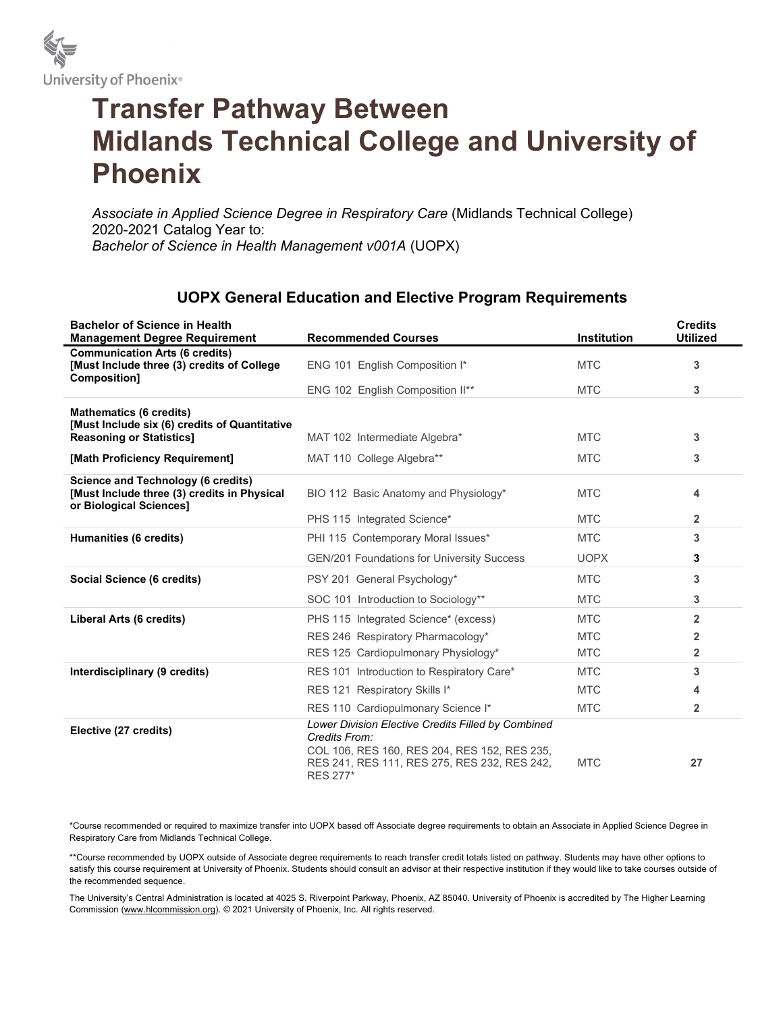

## Transfer Pathway Between Midlands Technical College and University of Phoenix

Associate in Applied Science Degree in Respiratory Care (Midlands Technical College) 2020-2021 Catalog Year to: Bachelor of Science in Health Management v001A (UOPX)

## UOPX General Education and Elective Program Requirements

| <b>Bachelor of Science in Health</b><br><b>Management Degree Requirement</b>                                        | <b>Recommended Courses</b>                                                                                                                                                      | <b>Institution</b> | <b>Credits</b><br><b>Utilized</b> |
|---------------------------------------------------------------------------------------------------------------------|---------------------------------------------------------------------------------------------------------------------------------------------------------------------------------|--------------------|-----------------------------------|
| <b>Communication Arts (6 credits)</b><br>[Must Include three (3) credits of College                                 | ENG 101 English Composition I*                                                                                                                                                  | <b>MTC</b>         | 3                                 |
| Composition]                                                                                                        | ENG 102 English Composition II**                                                                                                                                                | <b>MTC</b>         | 3                                 |
| <b>Mathematics (6 credits)</b><br>[Must Include six (6) credits of Quantitative                                     |                                                                                                                                                                                 |                    |                                   |
| <b>Reasoning or Statistics]</b>                                                                                     | MAT 102 Intermediate Algebra*                                                                                                                                                   | <b>MTC</b>         | 3                                 |
| [Math Proficiency Requirement]                                                                                      | MAT 110 College Algebra**                                                                                                                                                       | <b>MTC</b>         | 3                                 |
| <b>Science and Technology (6 credits)</b><br>[Must Include three (3) credits in Physical<br>or Biological Sciences] | BIO 112 Basic Anatomy and Physiology*                                                                                                                                           | <b>MTC</b>         | 4                                 |
|                                                                                                                     | PHS 115 Integrated Science*                                                                                                                                                     | <b>MTC</b>         | $\overline{2}$                    |
| Humanities (6 credits)                                                                                              | PHI 115 Contemporary Moral Issues*                                                                                                                                              | <b>MTC</b>         | 3                                 |
|                                                                                                                     | <b>GEN/201 Foundations for University Success</b>                                                                                                                               | <b>UOPX</b>        | 3                                 |
| Social Science (6 credits)                                                                                          | PSY 201 General Psychology*                                                                                                                                                     | <b>MTC</b>         | 3                                 |
|                                                                                                                     | SOC 101 Introduction to Sociology**                                                                                                                                             | <b>MTC</b>         | 3                                 |
| Liberal Arts (6 credits)                                                                                            | PHS 115 Integrated Science* (excess)                                                                                                                                            | <b>MTC</b>         | $\overline{2}$                    |
|                                                                                                                     | RES 246 Respiratory Pharmacology*                                                                                                                                               | <b>MTC</b>         | 2                                 |
|                                                                                                                     | RES 125 Cardiopulmonary Physiology*                                                                                                                                             | <b>MTC</b>         | $\overline{2}$                    |
| Interdisciplinary (9 credits)                                                                                       | RES 101 Introduction to Respiratory Care*                                                                                                                                       | <b>MTC</b>         | 3                                 |
|                                                                                                                     | RES 121 Respiratory Skills I*                                                                                                                                                   | <b>MTC</b>         | 4                                 |
|                                                                                                                     | RES 110 Cardiopulmonary Science I*                                                                                                                                              | <b>MTC</b>         | $\overline{2}$                    |
| Elective (27 credits)                                                                                               | Lower Division Elective Credits Filled by Combined<br>Credits From:<br>COL 106, RES 160, RES 204, RES 152, RES 235,<br>RES 241, RES 111, RES 275, RES 232, RES 242,<br>RES 277* | <b>MTC</b>         | 27                                |

\*Course recommended or required to maximize transfer into UOPX based off Associate degree requirements to obtain an Associate in Applied Science Degree in Respiratory Care from Midlands Technical College.

\*\*Course recommended by UOPX outside of Associate degree requirements to reach transfer credit totals listed on pathway. Students may have other options to satisfy this course requirement at University of Phoenix. Students should consult an advisor at their respective institution if they would like to take courses outside of the recommended sequence.

The University's Central Administration is located at 4025 S. Riverpoint Parkway, Phoenix, AZ 85040. University of Phoenix is accredited by The Higher Learning Commission (www.hlcommission.org). © 2021 University of Phoenix, Inc. All rights reserved.